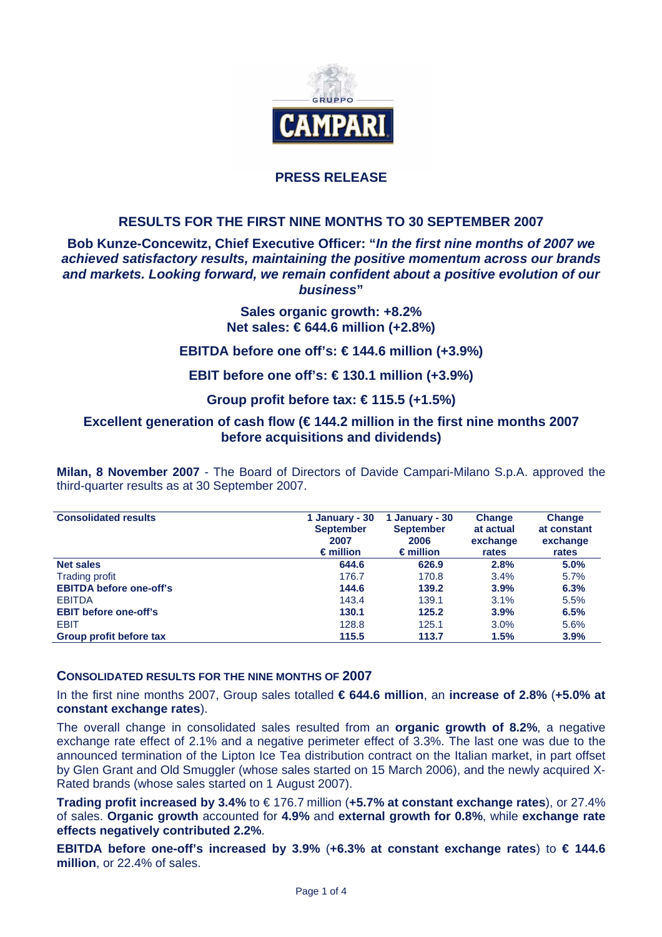

## **PRESS RELEASE**

## **RESULTS FOR THE FIRST NINE MONTHS TO 30 SEPTEMBER 2007**

#### **Bob Kunze-Concewitz, Chief Executive Officer: "***In the first nine months of 2007 we achieved satisfactory results, maintaining the positive momentum across our brands and markets. Looking forward, we remain confident about a positive evolution of our business***"**

# **Sales organic growth: +8.2% Net sales: € 644.6 million (+2.8%)**

## **EBITDA before one off's: € 144.6 million (+3.9%)**

## **EBIT before one off's: € 130.1 million (+3.9%)**

## **Group profit before tax: € 115.5 (+1.5%)**

## **Excellent generation of cash flow (€ 144.2 million in the first nine months 2007 before acquisitions and dividends)**

**Milan, 8 November 2007** - The Board of Directors of Davide Campari-Milano S.p.A. approved the third-quarter results as at 30 September 2007.

| <b>Consolidated results</b>    | 1 January - 30<br><b>September</b><br>2007<br>$\epsilon$ million | 1 January - 30<br><b>September</b><br>2006<br>$\epsilon$ million | <b>Change</b><br>at actual<br>exchange<br>rates | <b>Change</b><br>at constant<br>exchange<br>rates |  |
|--------------------------------|------------------------------------------------------------------|------------------------------------------------------------------|-------------------------------------------------|---------------------------------------------------|--|
| <b>Net sales</b>               | 644.6                                                            | 626.9                                                            | 2.8%                                            | 5.0%                                              |  |
| <b>Trading profit</b>          | 176.7                                                            | 170.8                                                            | 3.4%                                            | 5.7%                                              |  |
| <b>EBITDA before one-off's</b> | 144.6                                                            | 139.2                                                            | 3.9%                                            | 6.3%                                              |  |
| <b>EBITDA</b>                  | 143.4                                                            | 139.1                                                            | 3.1%                                            | 5.5%                                              |  |
| <b>EBIT before one-off's</b>   | 130.1                                                            | 125.2                                                            | 3.9%                                            | 6.5%                                              |  |
| <b>EBIT</b>                    | 128.8                                                            | 125.1                                                            | 3.0%                                            | 5.6%                                              |  |
| Group profit before tax        | 115.5                                                            | 113.7                                                            | 1.5%                                            | 3.9%                                              |  |

#### **CONSOLIDATED RESULTS FOR THE NINE MONTHS OF 2007**

In the first nine months 2007, Group sales totalled **€ 644.6 million**, an **increase of 2.8%** (**+5.0% at constant exchange rates**).

The overall change in consolidated sales resulted from an **organic growth of 8.2%**, a negative exchange rate effect of 2.1% and a negative perimeter effect of 3.3%. The last one was due to the announced termination of the Lipton Ice Tea distribution contract on the Italian market, in part offset by Glen Grant and Old Smuggler (whose sales started on 15 March 2006), and the newly acquired X-Rated brands (whose sales started on 1 August 2007).

**Trading profit increased by 3.4%** to € 176.7 million (**+5.7% at constant exchange rates**), or 27.4% of sales. **Organic growth** accounted for **4.9%** and **external growth for 0.8%**, while **exchange rate effects negatively contributed 2.2%**.

**EBITDA before one-off's increased by 3.9%** (**+6.3% at constant exchange rates**) to **€ 144.6 million**, or 22.4% of sales.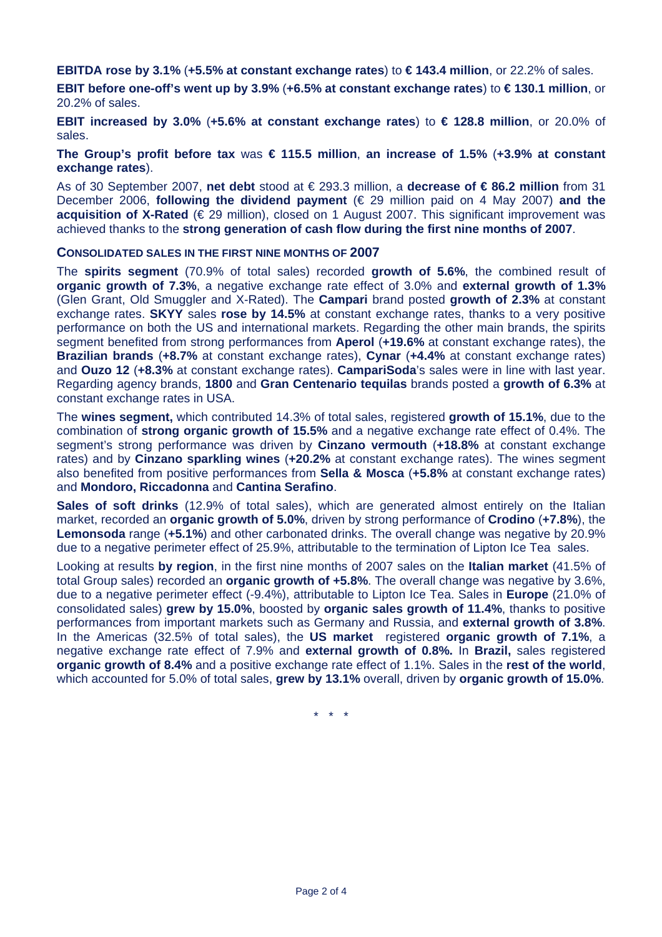**EBITDA rose by 3.1%** (**+5.5% at constant exchange rates**) to **€ 143.4 million**, or 22.2% of sales.

**EBIT before one-off's went up by 3.9%** (**+6.5% at constant exchange rates**) to **€ 130.1 million**, or 20.2% of sales.

**EBIT increased by 3.0%** (**+5.6% at constant exchange rates**) to **€ 128.8 million**, or 20.0% of sales.

**The Group's profit before tax** was **€ 115.5 million**, **an increase of 1.5%** (**+3.9% at constant exchange rates**).

As of 30 September 2007, **net debt** stood at € 293.3 million, a **decrease of € 86.2 million** from 31 December 2006, **following the dividend payment** (€ 29 million paid on 4 May 2007) **and the acquisition of X-Rated** (€ 29 million), closed on 1 August 2007. This significant improvement was achieved thanks to the **strong generation of cash flow during the first nine months of 2007**.

#### **CONSOLIDATED SALES IN THE FIRST NINE MONTHS OF 2007**

The **spirits segment** (70.9% of total sales) recorded **growth of 5.6%**, the combined result of **organic growth of 7.3%**, a negative exchange rate effect of 3.0% and **external growth of 1.3%** (Glen Grant, Old Smuggler and X-Rated). The **Campari** brand posted **growth of 2.3%** at constant exchange rates. **SKYY** sales **rose by 14.5%** at constant exchange rates, thanks to a very positive performance on both the US and international markets. Regarding the other main brands, the spirits segment benefited from strong performances from **Aperol** (**+19.6%** at constant exchange rates), the **Brazilian brands** (**+8.7%** at constant exchange rates), **Cynar** (**+4.4%** at constant exchange rates) and **Ouzo 12** (**+8.3%** at constant exchange rates). **CampariSoda**'s sales were in line with last year. Regarding agency brands, **1800** and **Gran Centenario tequilas** brands posted a **growth of 6.3%** at constant exchange rates in USA.

The **wines segment,** which contributed 14.3% of total sales, registered **growth of 15.1%**, due to the combination of **strong organic growth of 15.5%** and a negative exchange rate effect of 0.4%. The segment's strong performance was driven by **Cinzano vermouth** (**+18.8%** at constant exchange rates) and by **Cinzano sparkling wines** (**+20.2%** at constant exchange rates). The wines segment also benefited from positive performances from **Sella & Mosca** (**+5.8%** at constant exchange rates) and **Mondoro, Riccadonna** and **Cantina Serafino**.

**Sales of soft drinks** (12.9% of total sales), which are generated almost entirely on the Italian market, recorded an **organic growth of 5.0%**, driven by strong performance of **Crodino** (**+7.8%**), the **Lemonsoda** range (**+5.1%**) and other carbonated drinks. The overall change was negative by 20.9% due to a negative perimeter effect of 25.9%, attributable to the termination of Lipton Ice Tea sales.

Looking at results **by region**, in the first nine months of 2007 sales on the **Italian market** (41.5% of total Group sales) recorded an **organic growth of +5.8%**. The overall change was negative by 3.6%, due to a negative perimeter effect (-9.4%), attributable to Lipton Ice Tea. Sales in **Europe** (21.0% of consolidated sales) **grew by 15.0%**, boosted by **organic sales growth of 11.4%**, thanks to positive performances from important markets such as Germany and Russia, and **external growth of 3.8%**. In the Americas (32.5% of total sales), the **US market** registered **organic growth of 7.1%**, a negative exchange rate effect of 7.9% and **external growth of 0.8%.** In **Brazil,** sales registered **organic growth of 8.4%** and a positive exchange rate effect of 1.1%. Sales in the **rest of the world**, which accounted for 5.0% of total sales, **grew by 13.1%** overall, driven by **organic growth of 15.0%**.

\* \* \*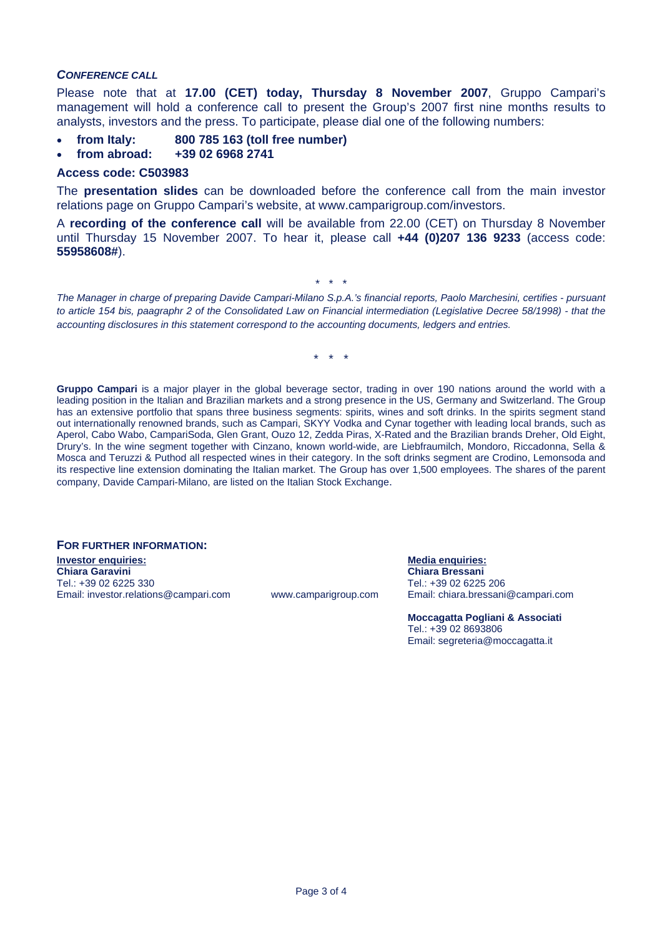#### *CONFERENCE CALL*

Please note that at **17.00 (CET) today, Thursday 8 November 2007**, Gruppo Campari's management will hold a conference call to present the Group's 2007 first nine months results to analysts, investors and the press. To participate, please dial one of the following numbers:

- **from Italy: 800 785 163 (toll free number)**
- **from abroad: +39 02 6968 2741**

#### **Access code: C503983**

The **presentation slides** can be downloaded before the conference call from the main investor relations page on Gruppo Campari's website, at www.camparigroup.com/investors.

A **recording of the conference call** will be available from 22.00 (CET) on Thursday 8 November until Thursday 15 November 2007. To hear it, please call **+44 (0)207 136 9233** (access code: **55958608#**).

*The Manager in charge of preparing Davide Campari-Milano S.p.A.'s financial reports, Paolo Marchesini, certifies - pursuant to article 154 bis, paagraphr 2 of the Consolidated Law on Financial intermediation (Legislative Decree 58/1998) - that the accounting disclosures in this statement correspond to the accounting documents, ledgers and entries.* 

\* \* \*

\* \* \*

Gruppo Campari is a major player in the global beverage sector, trading in over 190 nations around the world with a leading position in the Italian and Brazilian markets and a strong presence in the US, Germany and Switzerland. The Group has an extensive portfolio that spans three business segments: spirits, wines and soft drinks. In the spirits segment stand out internationally renowned brands, such as Campari, SKYY Vodka and Cynar together with leading local brands, such as Aperol, Cabo Wabo, CampariSoda, Glen Grant, Ouzo 12, Zedda Piras, X-Rated and the Brazilian brands Dreher, Old Eight, Drury's. In the wine segment together with Cinzano, known world-wide, are Liebfraumilch, Mondoro, Riccadonna, Sella & Mosca and Teruzzi & Puthod all respected wines in their category. In the soft drinks segment are Crodino, Lemonsoda and its respective line extension dominating the Italian market. The Group has over 1,500 employees. The shares of the parent company, Davide Campari-Milano, are listed on the Italian Stock Exchange.

# **FOR FURTHER INFORMATION: Investor enquiries: Media enquiries: Chiara Garavini Chiara Bressani**

Email: investor.relations@campari.com www.camparigroup.com

Tel.: +39 02 6225 330 Tel.: +39 02 6225 206

**Moccagatta Pogliani & Associati**  Tel.: +39 02 8693806 Email: segreteria@moccagatta.it